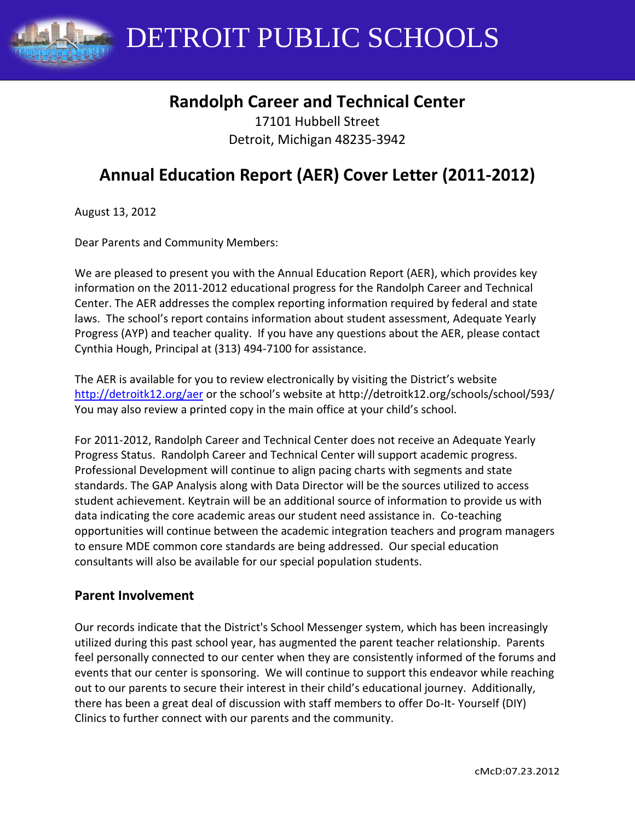

## **Randolph Career and Technical Center**

17101 Hubbell Street Detroit, Michigan 48235-3942

# **Annual Education Report (AER) Cover Letter (2011-2012)**

August 13, 2012

Dear Parents and Community Members:

We are pleased to present you with the Annual Education Report (AER), which provides key information on the 2011-2012 educational progress for the Randolph Career and Technical Center. The AER addresses the complex reporting information required by federal and state laws. The school's report contains information about student assessment, Adequate Yearly Progress (AYP) and teacher quality. If you have any questions about the AER, please contact Cynthia Hough, Principal at (313) 494-7100 for assistance.

The AER is available for you to review electronically by visiting the District's website <http://detroitk12.org/aer> or the school's website at http://detroitk12.org/schools/school/593/ You may also review a printed copy in the main office at your child's school.

For 2011-2012, Randolph Career and Technical Center does not receive an Adequate Yearly Progress Status. Randolph Career and Technical Center will support academic progress. Professional Development will continue to align pacing charts with segments and state standards. The GAP Analysis along with Data Director will be the sources utilized to access student achievement. Keytrain will be an additional source of information to provide us with data indicating the core academic areas our student need assistance in. Co-teaching opportunities will continue between the academic integration teachers and program managers to ensure MDE common core standards are being addressed. Our special education consultants will also be available for our special population students.

#### **Parent Involvement**

Our records indicate that the District's School Messenger system, which has been increasingly utilized during this past school year, has augmented the parent teacher relationship. Parents feel personally connected to our center when they are consistently informed of the forums and events that our center is sponsoring. We will continue to support this endeavor while reaching out to our parents to secure their interest in their child's educational journey. Additionally, there has been a great deal of discussion with staff members to offer Do-It- Yourself (DIY) Clinics to further connect with our parents and the community.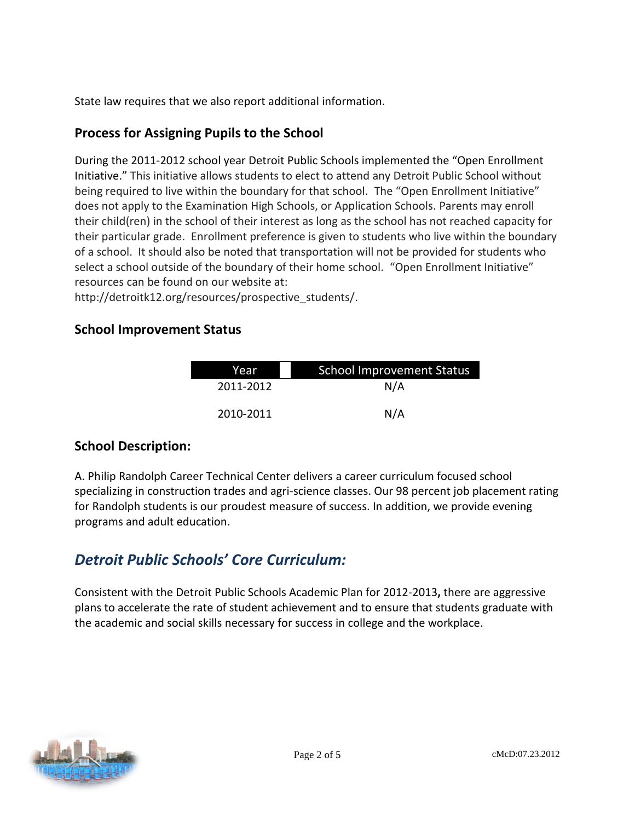State law requires that we also report additional information.

## **Process for Assigning Pupils to the School**

During the 2011-2012 school year Detroit Public Schools implemented the "Open Enrollment Initiative." This initiative allows students to elect to attend any Detroit Public School without being required to live within the boundary for that school. The "Open Enrollment Initiative" does not apply to the Examination High Schools, or Application Schools. Parents may enroll their child(ren) in the school of their interest as long as the school has not reached capacity for their particular grade. Enrollment preference is given to students who live within the boundary of a school. It should also be noted that transportation will not be provided for students who select a school outside of the boundary of their home school. "Open Enrollment Initiative" resources can be found on our website at:

http://detroitk12.org/resources/prospective\_students/.

## **School Improvement Status**

| Year      | <b>School Improvement Status</b> |  |
|-----------|----------------------------------|--|
| 2011-2012 | N/A                              |  |
| 2010-2011 | N/A                              |  |

## **School Description:**

A. Philip Randolph Career Technical Center delivers a career curriculum focused school specializing in construction trades and agri-science classes. Our 98 percent job placement rating for Randolph students is our proudest measure of success. In addition, we provide evening programs and adult education.

## *Detroit Public Schools' Core Curriculum:*

Consistent with the Detroit Public Schools Academic Plan for 2012-2013**,** there are aggressive plans to accelerate the rate of student achievement and to ensure that students graduate with the academic and social skills necessary for success in college and the workplace.

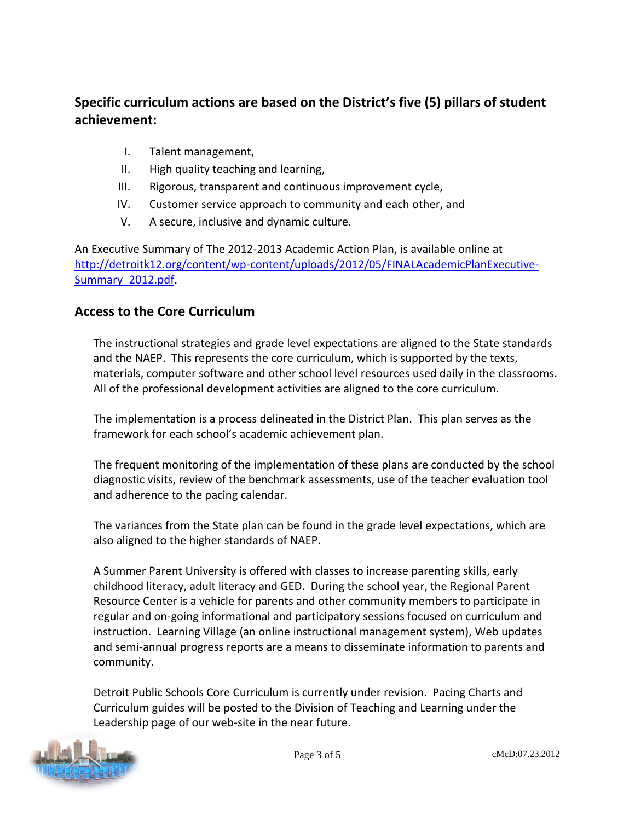## **Specific curriculum actions are based on the District's five (5) pillars of student achievement:**

- I. Talent management,
- II. High quality teaching and learning,
- III. Rigorous, transparent and continuous improvement cycle,
- IV. Customer service approach to community and each other, and
- V. A secure, inclusive and dynamic culture.

An Executive Summary of The 2012-2013 Academic Action Plan, is available online at [http://detroitk12.org/content/wp-content/uploads/2012/05/FINALAcademicPlanExecutive-](http://detroitk12.org/content/wp-content/uploads/2012/05/FINALAcademicPlanExecutive-Summary_2012.pdf)[Summary\\_2012.pdf](http://detroitk12.org/content/wp-content/uploads/2012/05/FINALAcademicPlanExecutive-Summary_2012.pdf).

#### **Access to the Core Curriculum**

The instructional strategies and grade level expectations are aligned to the State standards and the NAEP. This represents the core curriculum, which is supported by the texts, materials, computer software and other school level resources used daily in the classrooms. All of the professional development activities are aligned to the core curriculum.

The implementation is a process delineated in the District Plan. This plan serves as the framework for each school's academic achievement plan.

The frequent monitoring of the implementation of these plans are conducted by the school diagnostic visits, review of the benchmark assessments, use of the teacher evaluation tool and adherence to the pacing calendar.

The variances from the State plan can be found in the grade level expectations, which are also aligned to the higher standards of NAEP.

A Summer Parent University is offered with classes to increase parenting skills, early childhood literacy, adult literacy and GED. During the school year, the Regional Parent Resource Center is a vehicle for parents and other community members to participate in regular and on-going informational and participatory sessions focused on curriculum and instruction. Learning Village (an online instructional management system), Web updates and semi-annual progress reports are a means to disseminate information to parents and community.

Detroit Public Schools Core Curriculum is currently under revision. Pacing Charts and Curriculum guides will be posted to the Division of Teaching and Learning under the Leadership page of our web-site in the near future.

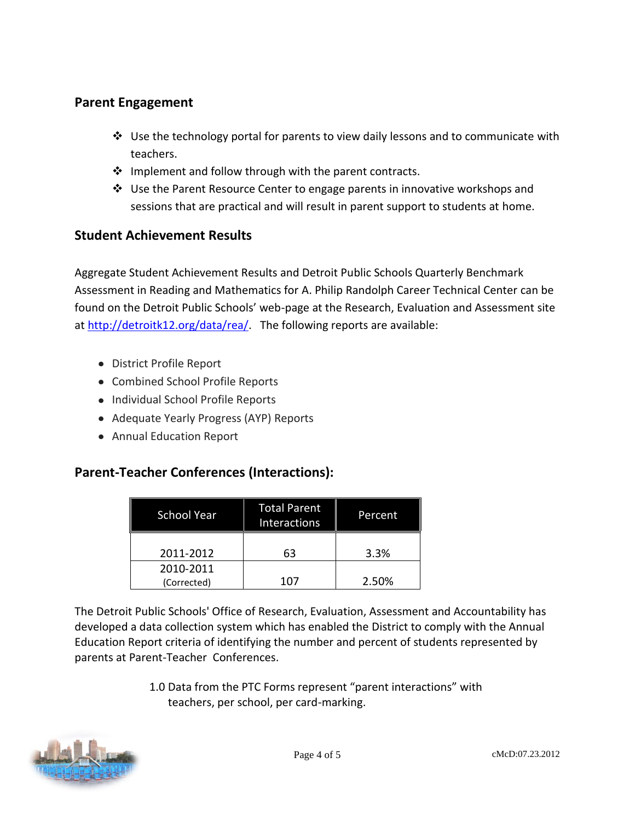## **Parent Engagement**

- $\cdot$  Use the technology portal for parents to view daily lessons and to communicate with teachers.
- $\cdot$  Implement and follow through with the parent contracts.
- Use the Parent Resource Center to engage parents in innovative workshops and sessions that are practical and will result in parent support to students at home.

## **Student Achievement Results**

Aggregate Student Achievement Results and Detroit Public Schools Quarterly Benchmark Assessment in Reading and Mathematics for A. Philip Randolph Career Technical Center can be found on the Detroit Public Schools' web-page at the Research, Evaluation and Assessment site at [http://detroitk12.org/data/rea/.](http://detroitk12.org/data/rea/) The following reports are available:

- District Profile Report
- Combined School Profile Reports
- Individual School Profile Reports
- Adequate Yearly Progress (AYP) Reports
- Annual Education Report

## **Parent-Teacher Conferences (Interactions):**

| <b>School Year</b>       | <b>Total Parent</b><br><b>Interactions</b> | Percent |
|--------------------------|--------------------------------------------|---------|
| 2011-2012                | 63                                         | 3.3%    |
| 2010-2011<br>(Corrected) | 107                                        | 2.50%   |

The Detroit Public Schools' Office of Research, Evaluation, Assessment and Accountability has developed a data collection system which has enabled the District to comply with the Annual Education Report criteria of identifying the number and percent of students represented by parents at Parent-Teacher Conferences.

> 1.0 Data from the PTC Forms represent "parent interactions" with teachers, per school, per card-marking.